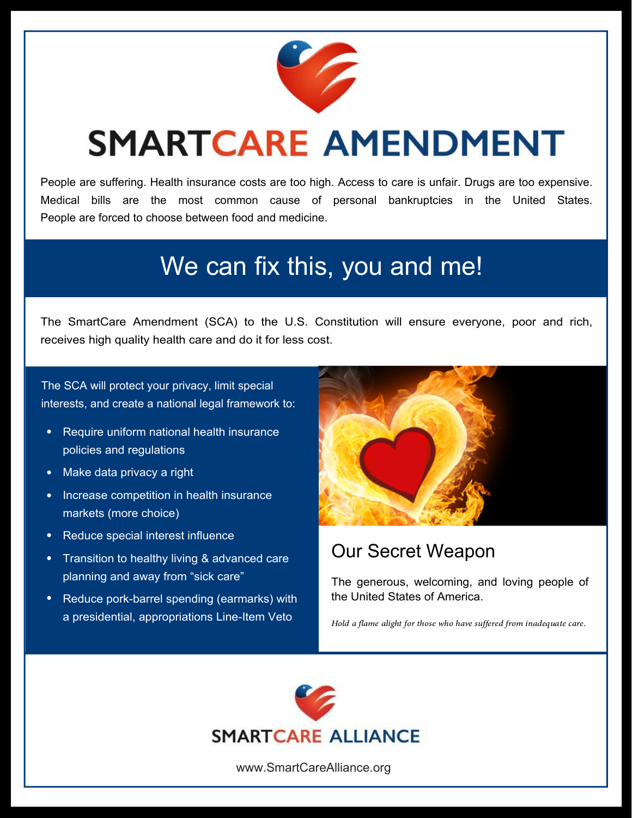

# **SMARTCARE AMENDMENT**

People are suffering. Health insurance costs are too high. Access to care is unfair. Drugs are too expensive. Medical bills are the most common cause of personal bankruptcies in the United States. People are forced to choose between food and medicine.

## We can fix this, you and me!

The SmartCare Amendment (SCA) to the U.S. Constitution will ensure everyone, poor and rich, receives high quality health care and do it for less cost.

The SCA will protect your privacy, limit special interests, and create a national legal framework to:

- Require uniform national health insurance  $\bullet$ policies and regulations
- Make data privacy a right  $\bullet$
- Increase competition in health insurance  $\bullet$ markets (more choice)
- Reduce special interest influence  $\bullet$
- $\bullet$ Transition to healthy living & advanced care planning and away from "sick care"
- Reduce pork-barrel spending (earmarks) with a presidential, appropriations Line-Item Veto



#### Our Secret Weapon

The generous, welcoming, and loving people of the United States of America.

*Hold a flame alight for those who have suffered from inadequate care.*



www.SmartCareAlliance.org